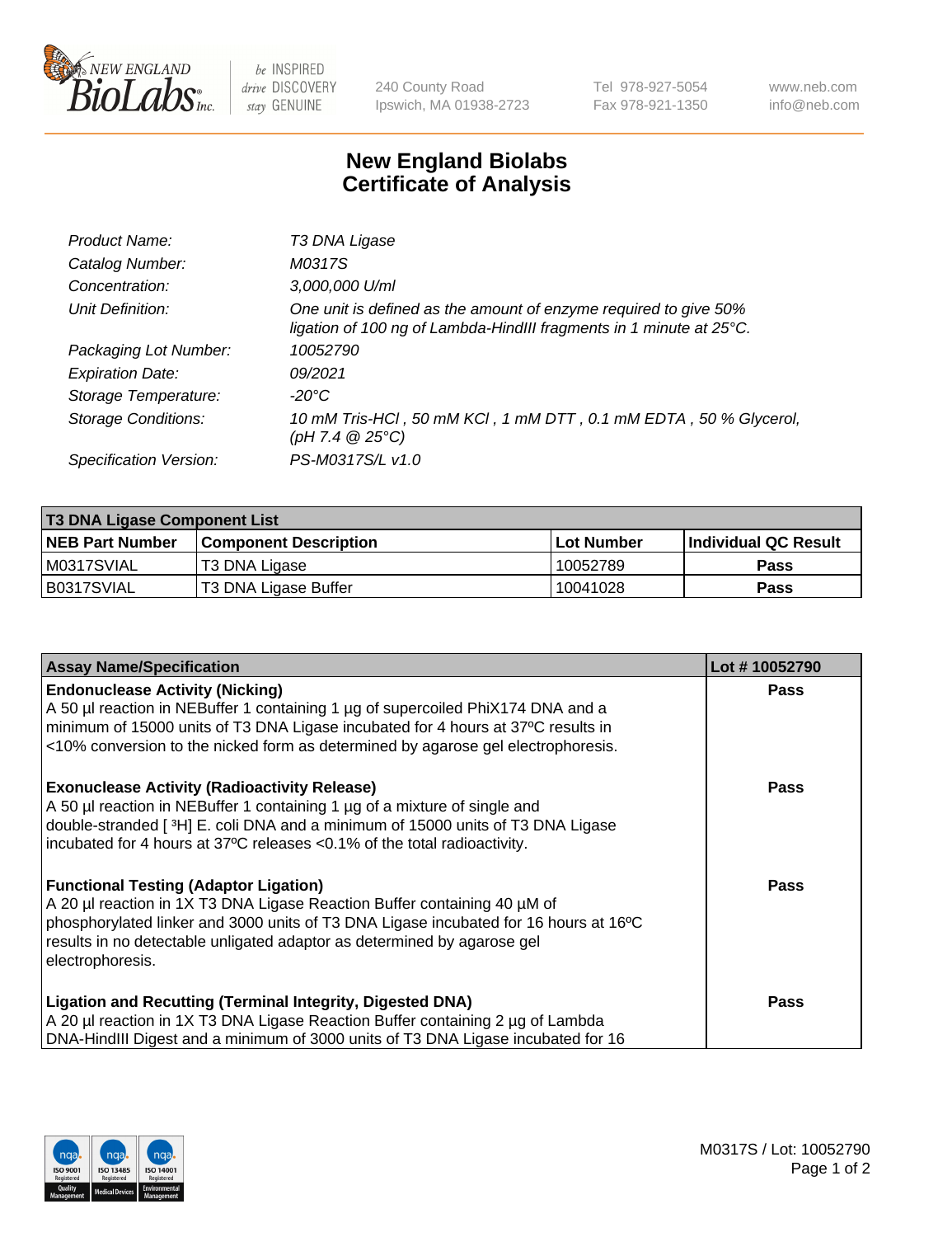

 $be$  INSPIRED drive DISCOVERY stay GENUINE

240 County Road Ipswich, MA 01938-2723 Tel 978-927-5054 Fax 978-921-1350 www.neb.com info@neb.com

## **New England Biolabs Certificate of Analysis**

| Product Name:              | T3 DNA Ligase                                                                                                                           |
|----------------------------|-----------------------------------------------------------------------------------------------------------------------------------------|
| Catalog Number:            | M0317S                                                                                                                                  |
| Concentration:             | 3,000,000 U/ml                                                                                                                          |
| Unit Definition:           | One unit is defined as the amount of enzyme required to give 50%<br>ligation of 100 ng of Lambda-HindIII fragments in 1 minute at 25°C. |
| Packaging Lot Number:      | 10052790                                                                                                                                |
| <b>Expiration Date:</b>    | 09/2021                                                                                                                                 |
| Storage Temperature:       | -20°C                                                                                                                                   |
| <b>Storage Conditions:</b> | 10 mM Tris-HCI, 50 mM KCI, 1 mM DTT, 0.1 mM EDTA, 50 % Glycerol,<br>$(pH 7.4 \ @ 25^{\circ}C)$                                          |
| Specification Version:     | PS-M0317S/L v1.0                                                                                                                        |

| <b>T3 DNA Ligase Component List</b> |                        |                   |                      |  |  |
|-------------------------------------|------------------------|-------------------|----------------------|--|--|
| <b>NEB Part Number</b>              | Component Description_ | <b>Lot Number</b> | Individual QC Result |  |  |
| M0317SVIAL                          | T3 DNA Ligase          | 10052789          | <b>Pass</b>          |  |  |
| B0317SVIAL                          | T3 DNA Ligase Buffer   | 10041028          | <b>Pass</b>          |  |  |

| <b>Assay Name/Specification</b>                                                      | Lot #10052790 |
|--------------------------------------------------------------------------------------|---------------|
| <b>Endonuclease Activity (Nicking)</b>                                               | Pass          |
| A 50 µl reaction in NEBuffer 1 containing 1 µg of supercoiled PhiX174 DNA and a      |               |
| minimum of 15000 units of T3 DNA Ligase incubated for 4 hours at 37°C results in     |               |
| <10% conversion to the nicked form as determined by agarose gel electrophoresis.     |               |
| <b>Exonuclease Activity (Radioactivity Release)</b>                                  | Pass          |
| A 50 µl reaction in NEBuffer 1 containing 1 µg of a mixture of single and            |               |
| double-stranded [3H] E. coli DNA and a minimum of 15000 units of T3 DNA Ligase       |               |
| incubated for 4 hours at 37°C releases <0.1% of the total radioactivity.             |               |
| <b>Functional Testing (Adaptor Ligation)</b>                                         | Pass          |
| A 20 µl reaction in 1X T3 DNA Ligase Reaction Buffer containing 40 µM of             |               |
| phosphorylated linker and 3000 units of T3 DNA Ligase incubated for 16 hours at 16°C |               |
| results in no detectable unligated adaptor as determined by agarose gel              |               |
| electrophoresis.                                                                     |               |
| <b>Ligation and Recutting (Terminal Integrity, Digested DNA)</b>                     | <b>Pass</b>   |
| A 20 µl reaction in 1X T3 DNA Ligase Reaction Buffer containing 2 µg of Lambda       |               |
| DNA-HindIII Digest and a minimum of 3000 units of T3 DNA Ligase incubated for 16     |               |